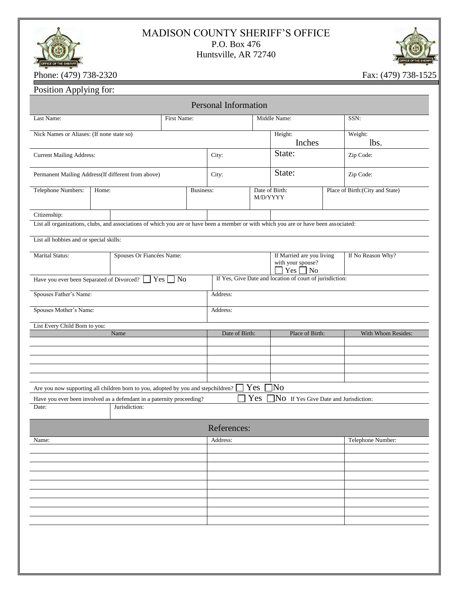## MADISON COUNTY SHERIFF'S OFFICE P.O. Box 476 Huntsville, AR 72740



Phone: (479) 738-2320 Fax: (479) 738-1525

|                                           |                                                                                                                                       |                  | <b>Personal Information</b> |     |                                                                       |  |                                  |
|-------------------------------------------|---------------------------------------------------------------------------------------------------------------------------------------|------------------|-----------------------------|-----|-----------------------------------------------------------------------|--|----------------------------------|
| Last Name:                                | First Name:                                                                                                                           |                  |                             |     | Middle Name:                                                          |  | SSN:                             |
| Nick Names or Aliases: (If none state so) |                                                                                                                                       |                  | Height:<br>Inches           |     | Weight:<br>lbs.                                                       |  |                                  |
| <b>Current Mailing Address:</b>           |                                                                                                                                       |                  | City:                       |     | State:                                                                |  | Zip Code:                        |
|                                           | Permanent Mailing Address(If different from above)                                                                                    |                  | City:                       |     | State:                                                                |  | Zip Code:                        |
| Telephone Numbers:                        | Home:                                                                                                                                 | <b>Business:</b> |                             |     | Date of Birth:<br>M/D/YYYY                                            |  | Place of Birth: (City and State) |
| Citizenship:                              |                                                                                                                                       |                  |                             |     |                                                                       |  |                                  |
|                                           | List all organizations, clubs, and associations of which you are or have been a member or with which you are or have been associated: |                  |                             |     |                                                                       |  |                                  |
| List all hobbies and or special skills:   |                                                                                                                                       |                  |                             |     |                                                                       |  |                                  |
| <b>Marital Status:</b>                    | Spouses Or Fiancées Name:                                                                                                             |                  |                             |     | If Married are you living<br>with your spouse?<br>Yes                 |  | If No Reason Why?                |
|                                           | Have you ever been Separated of Divorced? Ves No                                                                                      |                  |                             |     | $\Box$ No<br>If Yes, Give Date and location of court of jurisdiction: |  |                                  |
| Spouses Father's Name:                    |                                                                                                                                       |                  | Address:                    |     |                                                                       |  |                                  |
| Spouses Mother's Name:                    |                                                                                                                                       |                  | Address:                    |     |                                                                       |  |                                  |
| List Every Child Born to you:             | Name                                                                                                                                  |                  | Date of Birth:              |     | Place of Birth:                                                       |  | With Whom Resides:               |
|                                           |                                                                                                                                       |                  |                             |     |                                                                       |  |                                  |
|                                           |                                                                                                                                       |                  |                             |     |                                                                       |  |                                  |
|                                           |                                                                                                                                       |                  |                             |     |                                                                       |  |                                  |
|                                           |                                                                                                                                       |                  |                             |     |                                                                       |  |                                  |
|                                           |                                                                                                                                       |                  |                             |     |                                                                       |  |                                  |
|                                           | Are you now supporting all children born to you, adopted by you and stepchildren?                                                     |                  |                             | Yes | ]No                                                                   |  |                                  |
|                                           | Have you ever been involved as a defendant in a paternity proceeding?                                                                 |                  |                             | Yes | NO If Yes Give Date and Jurisdiction:                                 |  |                                  |
|                                           | Jurisdiction:                                                                                                                         |                  |                             |     |                                                                       |  |                                  |
|                                           |                                                                                                                                       |                  | References:                 |     |                                                                       |  |                                  |
|                                           |                                                                                                                                       |                  | Address:                    |     |                                                                       |  | Telephone Number:                |
|                                           |                                                                                                                                       |                  |                             |     |                                                                       |  |                                  |
|                                           |                                                                                                                                       |                  |                             |     |                                                                       |  |                                  |
|                                           |                                                                                                                                       |                  |                             |     |                                                                       |  |                                  |
|                                           |                                                                                                                                       |                  |                             |     |                                                                       |  |                                  |
|                                           |                                                                                                                                       |                  |                             |     |                                                                       |  |                                  |
| Date:<br>Name:                            |                                                                                                                                       |                  |                             |     |                                                                       |  |                                  |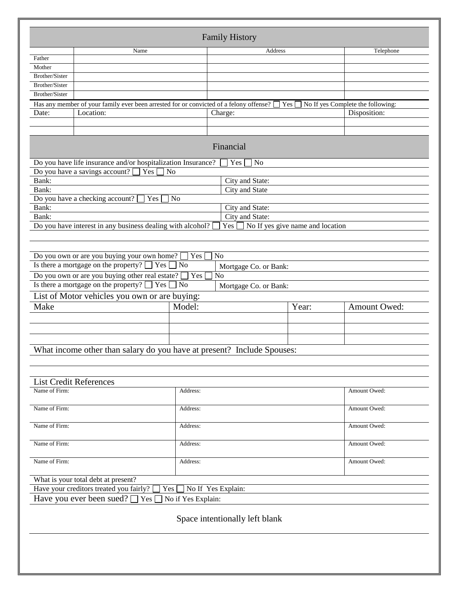|                       |                                                                                                                                            |                    | <b>Family History</b>          |                                  |              |
|-----------------------|--------------------------------------------------------------------------------------------------------------------------------------------|--------------------|--------------------------------|----------------------------------|--------------|
|                       | Name                                                                                                                                       |                    | Address                        |                                  | Telephone    |
| Father<br>Mother      |                                                                                                                                            |                    |                                |                                  |              |
| <b>Brother/Sister</b> |                                                                                                                                            |                    |                                |                                  |              |
| <b>Brother/Sister</b> |                                                                                                                                            |                    |                                |                                  |              |
| Brother/Sister        |                                                                                                                                            |                    |                                |                                  |              |
|                       | Has any member of your family ever been arrested for or convicted of a felony offense? $\Box$ Yes $\Box$ No If yes Complete the following: |                    |                                |                                  |              |
| Date:                 | Location:                                                                                                                                  |                    | Charge:                        |                                  | Disposition: |
|                       |                                                                                                                                            |                    |                                |                                  |              |
|                       |                                                                                                                                            |                    |                                |                                  |              |
|                       |                                                                                                                                            |                    | Financial                      |                                  |              |
|                       | Do you have life insurance and/or hospitalization Insurance?                                                                               |                    | N <sub>o</sub><br>Yes          |                                  |              |
|                       | Do you have a savings account?<br>Yes                                                                                                      | N <sub>0</sub>     |                                |                                  |              |
| Bank:                 |                                                                                                                                            |                    | City and State:                |                                  |              |
| Bank:                 |                                                                                                                                            |                    | City and State                 |                                  |              |
|                       | Do you have a checking account?<br>Yes                                                                                                     | N <sub>0</sub>     |                                |                                  |              |
| Bank:                 |                                                                                                                                            |                    | City and State:                |                                  |              |
| Bank:                 |                                                                                                                                            |                    | City and State:                |                                  |              |
|                       | Do you have interest in any business dealing with alcohol?                                                                                 |                    | Yes                            | No If yes give name and location |              |
|                       |                                                                                                                                            |                    |                                |                                  |              |
|                       |                                                                                                                                            |                    |                                |                                  |              |
|                       | Do you own or are you buying your own home?                                                                                                | Yes                | N <sub>o</sub>                 |                                  |              |
|                       | Is there a mortgage on the property? $\Box$ Yes $\Box$ No                                                                                  |                    | Mortgage Co. or Bank:          |                                  |              |
|                       | Do you own or are you buying other real estate?                                                                                            | $\Box$ Yes $\Box$  | No                             |                                  |              |
|                       | Is there a mortgage on the property? $\Box$ Yes $\Box$ No                                                                                  |                    | Mortgage Co. or Bank:          |                                  |              |
|                       | List of Motor vehicles you own or are buying:                                                                                              |                    |                                |                                  |              |
| Make                  |                                                                                                                                            | Model:             |                                | Year:                            | Amount Owed: |
|                       |                                                                                                                                            |                    |                                |                                  |              |
|                       |                                                                                                                                            |                    |                                |                                  |              |
|                       |                                                                                                                                            |                    |                                |                                  |              |
|                       |                                                                                                                                            |                    |                                |                                  |              |
|                       | What income other than salary do you have at present? Include Spouses:                                                                     |                    |                                |                                  |              |
|                       |                                                                                                                                            |                    |                                |                                  |              |
|                       |                                                                                                                                            |                    |                                |                                  |              |
|                       | <b>List Credit References</b>                                                                                                              |                    |                                |                                  |              |
| Name of Firm:         |                                                                                                                                            | Address:           |                                |                                  | Amount Owed: |
|                       |                                                                                                                                            |                    |                                |                                  |              |
| Name of Firm:         |                                                                                                                                            | Address:           |                                |                                  | Amount Owed: |
|                       |                                                                                                                                            |                    |                                |                                  |              |
| Name of Firm:         |                                                                                                                                            | Address:           |                                |                                  | Amount Owed: |
|                       |                                                                                                                                            |                    |                                |                                  |              |
| Name of Firm:         |                                                                                                                                            | Address:           |                                |                                  | Amount Owed: |
|                       |                                                                                                                                            |                    |                                |                                  |              |
| Name of Firm:         |                                                                                                                                            | Address:           |                                |                                  | Amount Owed: |
|                       |                                                                                                                                            |                    |                                |                                  |              |
|                       | What is your total debt at present?                                                                                                        |                    |                                |                                  |              |
|                       | Have your creditors treated you fairly?                                                                                                    | Yes                | No If Yes Explain:             |                                  |              |
|                       | Have you ever been sued?<br>Yes                                                                                                            | No if Yes Explain: |                                |                                  |              |
|                       |                                                                                                                                            |                    |                                |                                  |              |
|                       |                                                                                                                                            |                    |                                |                                  |              |
|                       |                                                                                                                                            |                    | Space intentionally left blank |                                  |              |
|                       |                                                                                                                                            |                    |                                |                                  |              |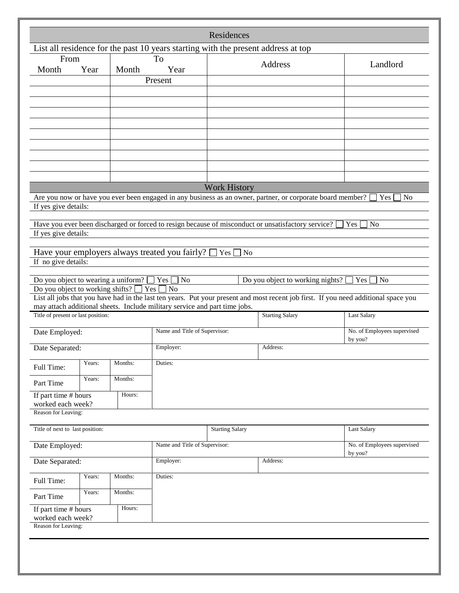|                                          |        |         |                                                                                   | Residences                      |                                                                                                                                     |                                        |
|------------------------------------------|--------|---------|-----------------------------------------------------------------------------------|---------------------------------|-------------------------------------------------------------------------------------------------------------------------------------|----------------------------------------|
|                                          |        |         | List all residence for the past 10 years starting with the present address at top |                                 |                                                                                                                                     |                                        |
| From                                     |        |         | To                                                                                |                                 | Address                                                                                                                             | Landlord                               |
| Month                                    | Year   | Month   | Year                                                                              |                                 |                                                                                                                                     |                                        |
|                                          |        |         | Present                                                                           |                                 |                                                                                                                                     |                                        |
|                                          |        |         |                                                                                   |                                 |                                                                                                                                     |                                        |
|                                          |        |         |                                                                                   |                                 |                                                                                                                                     |                                        |
|                                          |        |         |                                                                                   |                                 |                                                                                                                                     |                                        |
|                                          |        |         |                                                                                   |                                 |                                                                                                                                     |                                        |
|                                          |        |         |                                                                                   |                                 |                                                                                                                                     |                                        |
|                                          |        |         |                                                                                   |                                 |                                                                                                                                     |                                        |
|                                          |        |         |                                                                                   |                                 |                                                                                                                                     |                                        |
|                                          |        |         |                                                                                   |                                 |                                                                                                                                     |                                        |
|                                          |        |         |                                                                                   |                                 |                                                                                                                                     |                                        |
|                                          |        |         |                                                                                   | <b>Work History</b>             |                                                                                                                                     |                                        |
|                                          |        |         |                                                                                   |                                 | Are you now or have you ever been engaged in any business as an owner, partner, or corporate board member?                          | Yes<br>N <sub>o</sub>                  |
| If yes give details:                     |        |         |                                                                                   |                                 |                                                                                                                                     |                                        |
|                                          |        |         |                                                                                   |                                 | Have you ever been discharged or forced to resign because of misconduct or unsatisfactory service?                                  | Yes<br>N <sub>o</sub>                  |
| If yes give details:                     |        |         |                                                                                   |                                 |                                                                                                                                     |                                        |
|                                          |        |         |                                                                                   |                                 |                                                                                                                                     |                                        |
|                                          |        |         | Have your employers always treated you fairly?                                    | $\bigcap$ Yes<br>N <sub>0</sub> |                                                                                                                                     |                                        |
| If no give details:                      |        |         |                                                                                   |                                 |                                                                                                                                     |                                        |
|                                          |        |         |                                                                                   |                                 |                                                                                                                                     |                                        |
| Do you object to wearing a uniform?      |        |         | No<br>Yes                                                                         |                                 | Do you object to working nights?                                                                                                    | Yes<br>No                              |
| Do you object to working shifts? $\Box$  |        |         | Yes [<br>$\neg$ No                                                                |                                 | List all jobs that you have had in the last ten years. Put your present and most recent job first. If you need additional space you |                                        |
|                                          |        |         | may attach additional sheets. Include military service and part time jobs.        |                                 |                                                                                                                                     |                                        |
| Title of present or last position:       |        |         |                                                                                   |                                 | <b>Starting Salary</b>                                                                                                              | <b>Last Salary</b>                     |
|                                          |        |         |                                                                                   |                                 |                                                                                                                                     |                                        |
| Date Employed:                           |        |         | Name and Title of Supervisor:                                                     |                                 |                                                                                                                                     | No. of Employees supervised<br>by you? |
| Date Separated:                          |        |         | Employer:<br>Address:                                                             |                                 |                                                                                                                                     |                                        |
|                                          |        |         |                                                                                   |                                 |                                                                                                                                     |                                        |
| Full Time:                               | Years: | Months: | Duties:                                                                           |                                 |                                                                                                                                     |                                        |
|                                          | Years: | Months: |                                                                                   |                                 |                                                                                                                                     |                                        |
| Part Time                                |        |         |                                                                                   |                                 |                                                                                                                                     |                                        |
| If part time # hours                     |        | Hours:  |                                                                                   |                                 |                                                                                                                                     |                                        |
| worked each week?<br>Reason for Leaving: |        |         |                                                                                   |                                 |                                                                                                                                     |                                        |
|                                          |        |         |                                                                                   |                                 |                                                                                                                                     |                                        |
| Title of next to last position:          |        |         |                                                                                   | <b>Starting Salary</b>          |                                                                                                                                     | Last Salary                            |
|                                          |        |         |                                                                                   |                                 |                                                                                                                                     | No. of Employees supervised            |
| Date Employed:                           |        |         |                                                                                   | Name and Title of Supervisor:   |                                                                                                                                     |                                        |
| Date Separated:                          |        |         | Employer:                                                                         |                                 | Address:                                                                                                                            | by you?                                |
|                                          |        |         |                                                                                   |                                 |                                                                                                                                     |                                        |
| Full Time:                               | Years: | Months: | Duties:                                                                           |                                 |                                                                                                                                     |                                        |
| Part Time                                | Years: | Months: |                                                                                   |                                 |                                                                                                                                     |                                        |
| If part time # hours                     |        | Hours:  |                                                                                   |                                 |                                                                                                                                     |                                        |
| worked each week?                        |        |         |                                                                                   |                                 |                                                                                                                                     |                                        |
| Reason for Leaving:                      |        |         |                                                                                   |                                 |                                                                                                                                     |                                        |
|                                          |        |         |                                                                                   |                                 |                                                                                                                                     |                                        |
|                                          |        |         |                                                                                   |                                 |                                                                                                                                     |                                        |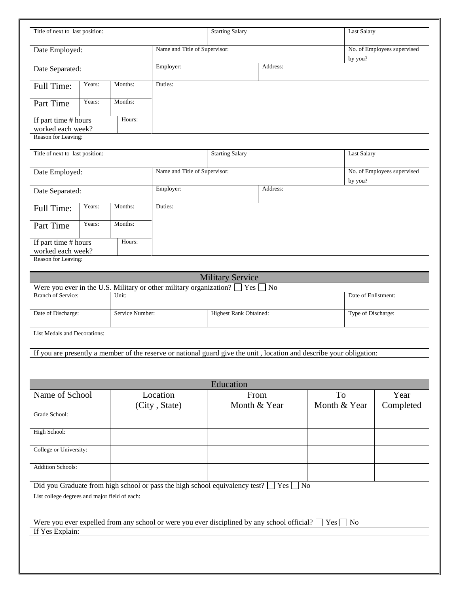| Title of next to last position:               |        |                 |                                                                    | <b>Starting Salary</b>                                                                                               |                |                | <b>Last Salary</b>                     |                             |
|-----------------------------------------------|--------|-----------------|--------------------------------------------------------------------|----------------------------------------------------------------------------------------------------------------------|----------------|----------------|----------------------------------------|-----------------------------|
| Date Employed:                                |        |                 | Name and Title of Supervisor:                                      |                                                                                                                      |                |                | No. of Employees supervised<br>by you? |                             |
| Date Separated:                               |        |                 | Employer:<br>Address:                                              |                                                                                                                      |                |                |                                        |                             |
| Full Time:                                    | Years: | Months:         | Duties:                                                            |                                                                                                                      |                |                |                                        |                             |
| Part Time                                     | Years: | Months:         |                                                                    |                                                                                                                      |                |                |                                        |                             |
| If part time # hours<br>worked each week?     |        | Hours:          |                                                                    |                                                                                                                      |                |                |                                        |                             |
| Reason for Leaving:                           |        |                 |                                                                    |                                                                                                                      |                |                |                                        |                             |
| Title of next to last position:               |        |                 |                                                                    | <b>Starting Salary</b>                                                                                               |                |                | <b>Last Salary</b>                     |                             |
| Date Employed:                                |        |                 | Name and Title of Supervisor:                                      |                                                                                                                      |                |                | by you?                                | No. of Employees supervised |
| Date Separated:                               |        |                 | Employer:                                                          |                                                                                                                      | Address:       |                |                                        |                             |
| Full Time:                                    | Years: | Months:         | Duties:                                                            |                                                                                                                      |                |                |                                        |                             |
| Part Time                                     | Years: | Months:         |                                                                    |                                                                                                                      |                |                |                                        |                             |
| If part time # hours<br>worked each week?     |        | Hours:          |                                                                    |                                                                                                                      |                |                |                                        |                             |
| Reason for Leaving:                           |        |                 |                                                                    |                                                                                                                      |                |                |                                        |                             |
|                                               |        |                 |                                                                    | <b>Military Service</b>                                                                                              |                |                |                                        |                             |
|                                               |        |                 | Were you ever in the U.S. Military or other military organization? | Yes                                                                                                                  | N <sub>o</sub> |                |                                        |                             |
| <b>Branch of Service:</b>                     |        | Unit:           |                                                                    |                                                                                                                      |                |                | Date of Enlistment:                    |                             |
| Date of Discharge:                            |        | Service Number: |                                                                    | <b>Highest Rank Obtained:</b>                                                                                        |                |                | Type of Discharge:                     |                             |
| List Medals and Decorations:                  |        |                 |                                                                    |                                                                                                                      |                |                |                                        |                             |
|                                               |        |                 |                                                                    | If you are presently a member of the reserve or national guard give the unit, location and describe your obligation: |                |                |                                        |                             |
|                                               |        |                 |                                                                    |                                                                                                                      |                |                |                                        |                             |
|                                               |        |                 |                                                                    | Education                                                                                                            |                |                |                                        |                             |
| Name of School                                |        |                 | Location                                                           | From                                                                                                                 |                | <b>To</b>      |                                        | Year                        |
| Grade School:                                 |        |                 | (City, State)                                                      | Month & Year                                                                                                         |                | Month & Year   |                                        | Completed                   |
| High School:                                  |        |                 |                                                                    |                                                                                                                      |                |                |                                        |                             |
| College or University:                        |        |                 |                                                                    |                                                                                                                      |                |                |                                        |                             |
| <b>Addition Schools:</b>                      |        |                 |                                                                    |                                                                                                                      |                |                |                                        |                             |
|                                               |        |                 |                                                                    |                                                                                                                      |                |                |                                        |                             |
| List college degrees and major field of each: |        |                 |                                                                    | Did you Graduate from high school or pass the high school equivalency test?                                          | Yes            | N <sub>o</sub> |                                        |                             |
| If Yes Explain:                               |        |                 |                                                                    | Were you ever expelled from any school or were you ever disciplined by any school official?                          |                | Yes            | No                                     |                             |
|                                               |        |                 |                                                                    |                                                                                                                      |                |                |                                        |                             |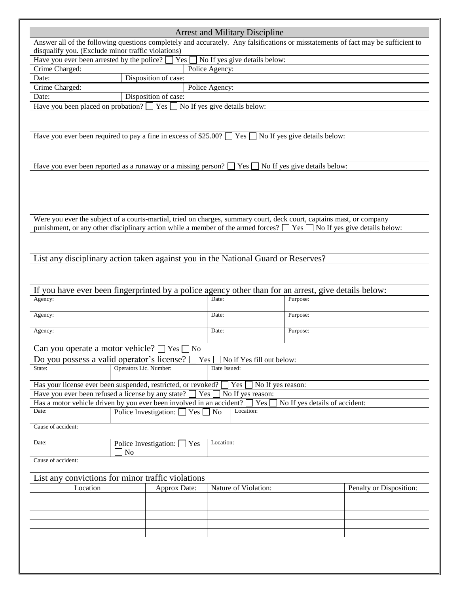|                                                                                                                       |                        |                                            | <b>Arrest and Military Discipline</b>                                                                                            |                                |                                                                                                                                   |  |  |
|-----------------------------------------------------------------------------------------------------------------------|------------------------|--------------------------------------------|----------------------------------------------------------------------------------------------------------------------------------|--------------------------------|-----------------------------------------------------------------------------------------------------------------------------------|--|--|
|                                                                                                                       |                        |                                            |                                                                                                                                  |                                | Answer all of the following questions completely and accurately. Any falsifications or misstatements of fact may be sufficient to |  |  |
| disqualify you. (Exclude minor traffic violations)                                                                    |                        |                                            |                                                                                                                                  |                                |                                                                                                                                   |  |  |
| No If yes give details below:<br>Have you ever been arrested by the police?<br>Yes                                    |                        |                                            |                                                                                                                                  |                                |                                                                                                                                   |  |  |
| Crime Charged:                                                                                                        | Police Agency:         |                                            |                                                                                                                                  |                                |                                                                                                                                   |  |  |
| Date:                                                                                                                 |                        | Disposition of case:                       |                                                                                                                                  |                                |                                                                                                                                   |  |  |
| Crime Charged:                                                                                                        |                        |                                            | Police Agency:                                                                                                                   |                                |                                                                                                                                   |  |  |
| Date:                                                                                                                 |                        | Disposition of case:                       |                                                                                                                                  |                                |                                                                                                                                   |  |  |
| Have you been placed on probation?                                                                                    |                        | Yes [                                      | No If yes give details below:                                                                                                    |                                |                                                                                                                                   |  |  |
|                                                                                                                       |                        |                                            |                                                                                                                                  |                                |                                                                                                                                   |  |  |
|                                                                                                                       |                        |                                            |                                                                                                                                  |                                |                                                                                                                                   |  |  |
|                                                                                                                       |                        |                                            |                                                                                                                                  |                                |                                                                                                                                   |  |  |
| Have you ever been required to pay a fine in excess of \$25.00?                                                       |                        |                                            | Yes                                                                                                                              | No If yes give details below:  |                                                                                                                                   |  |  |
|                                                                                                                       |                        |                                            |                                                                                                                                  |                                |                                                                                                                                   |  |  |
|                                                                                                                       |                        |                                            |                                                                                                                                  |                                |                                                                                                                                   |  |  |
| Have you ever been reported as a runaway or a missing person?                                                         |                        |                                            | Yes                                                                                                                              | No If yes give details below:  |                                                                                                                                   |  |  |
|                                                                                                                       |                        |                                            |                                                                                                                                  |                                |                                                                                                                                   |  |  |
|                                                                                                                       |                        |                                            |                                                                                                                                  |                                |                                                                                                                                   |  |  |
|                                                                                                                       |                        |                                            |                                                                                                                                  |                                |                                                                                                                                   |  |  |
|                                                                                                                       |                        |                                            |                                                                                                                                  |                                |                                                                                                                                   |  |  |
|                                                                                                                       |                        |                                            |                                                                                                                                  |                                |                                                                                                                                   |  |  |
| Were you ever the subject of a courts-martial, tried on charges, summary court, deck court, captains mast, or company |                        |                                            |                                                                                                                                  |                                |                                                                                                                                   |  |  |
|                                                                                                                       |                        |                                            | punishment, or any other disciplinary action while a member of the armed forces? $\Box$ Yes $\Box$ No If yes give details below: |                                |                                                                                                                                   |  |  |
|                                                                                                                       |                        |                                            |                                                                                                                                  |                                |                                                                                                                                   |  |  |
|                                                                                                                       |                        |                                            |                                                                                                                                  |                                |                                                                                                                                   |  |  |
|                                                                                                                       |                        |                                            |                                                                                                                                  |                                |                                                                                                                                   |  |  |
| List any disciplinary action taken against you in the National Guard or Reserves?                                     |                        |                                            |                                                                                                                                  |                                |                                                                                                                                   |  |  |
|                                                                                                                       |                        |                                            |                                                                                                                                  |                                |                                                                                                                                   |  |  |
|                                                                                                                       |                        |                                            |                                                                                                                                  |                                |                                                                                                                                   |  |  |
|                                                                                                                       |                        |                                            |                                                                                                                                  |                                |                                                                                                                                   |  |  |
| If you have ever been fingerprinted by a police agency other than for an arrest, give details below:                  |                        |                                            |                                                                                                                                  |                                |                                                                                                                                   |  |  |
| Agency:                                                                                                               |                        |                                            | Date:                                                                                                                            | Purpose:                       |                                                                                                                                   |  |  |
| Agency:                                                                                                               |                        |                                            | Date:                                                                                                                            | Purpose:                       |                                                                                                                                   |  |  |
|                                                                                                                       |                        |                                            |                                                                                                                                  |                                |                                                                                                                                   |  |  |
| Agency:                                                                                                               |                        |                                            | Date:                                                                                                                            | Purpose:                       |                                                                                                                                   |  |  |
|                                                                                                                       |                        |                                            |                                                                                                                                  |                                |                                                                                                                                   |  |  |
| Can you operate a motor vehicle? $\square$                                                                            |                        | $Yes \Box No$                              |                                                                                                                                  |                                |                                                                                                                                   |  |  |
| Do you possess a valid operator's license?                                                                            |                        |                                            | $Yes \tN$ No if Yes fill out below:                                                                                              |                                |                                                                                                                                   |  |  |
| State:                                                                                                                | Operators Lic. Number: |                                            | Date Issued:                                                                                                                     |                                |                                                                                                                                   |  |  |
|                                                                                                                       |                        |                                            |                                                                                                                                  |                                |                                                                                                                                   |  |  |
| Has your license ever been suspended, restricted, or revoked?                                                         |                        |                                            | No If yes reason:<br>Yes                                                                                                         |                                |                                                                                                                                   |  |  |
| Have you ever been refused a license by any state?                                                                    |                        | Yes                                        | No If yes reason:                                                                                                                |                                |                                                                                                                                   |  |  |
| Has a motor vehicle driven by you ever been involved in an accident?                                                  |                        |                                            | Yes                                                                                                                              | No If yes details of accident: |                                                                                                                                   |  |  |
| Date:                                                                                                                 |                        | Police Investigation: $\Box$ Yes $\Box$ No | Location:                                                                                                                        |                                |                                                                                                                                   |  |  |
|                                                                                                                       |                        |                                            |                                                                                                                                  |                                |                                                                                                                                   |  |  |
| Cause of accident:                                                                                                    |                        |                                            |                                                                                                                                  |                                |                                                                                                                                   |  |  |
|                                                                                                                       |                        |                                            |                                                                                                                                  |                                |                                                                                                                                   |  |  |
| Date:                                                                                                                 |                        | Police Investigation: Ves                  | Location:                                                                                                                        |                                |                                                                                                                                   |  |  |
|                                                                                                                       | No                     |                                            |                                                                                                                                  |                                |                                                                                                                                   |  |  |
| Cause of accident:                                                                                                    |                        |                                            |                                                                                                                                  |                                |                                                                                                                                   |  |  |
|                                                                                                                       |                        |                                            |                                                                                                                                  |                                |                                                                                                                                   |  |  |
| List any convictions for minor traffic violations                                                                     |                        |                                            |                                                                                                                                  |                                |                                                                                                                                   |  |  |
| Location                                                                                                              |                        | Approx Date:                               | Nature of Violation:                                                                                                             |                                | Penalty or Disposition:                                                                                                           |  |  |
|                                                                                                                       |                        |                                            |                                                                                                                                  |                                |                                                                                                                                   |  |  |
|                                                                                                                       |                        |                                            |                                                                                                                                  |                                |                                                                                                                                   |  |  |
|                                                                                                                       |                        |                                            |                                                                                                                                  |                                |                                                                                                                                   |  |  |
|                                                                                                                       |                        |                                            |                                                                                                                                  |                                |                                                                                                                                   |  |  |
|                                                                                                                       |                        |                                            |                                                                                                                                  |                                |                                                                                                                                   |  |  |
|                                                                                                                       |                        |                                            |                                                                                                                                  |                                |                                                                                                                                   |  |  |
|                                                                                                                       |                        |                                            |                                                                                                                                  |                                |                                                                                                                                   |  |  |
|                                                                                                                       |                        |                                            |                                                                                                                                  |                                |                                                                                                                                   |  |  |
|                                                                                                                       |                        |                                            |                                                                                                                                  |                                |                                                                                                                                   |  |  |
|                                                                                                                       |                        |                                            |                                                                                                                                  |                                |                                                                                                                                   |  |  |